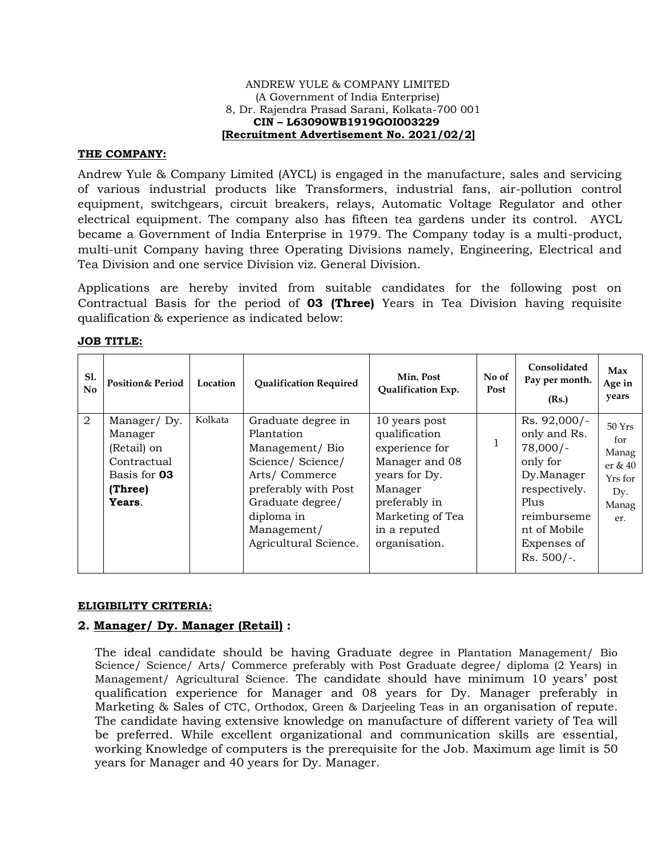### ANDREW YULE & COMPANY LIMITED (A Government of India Enterprise) 8, Dr. Rajendra Prasad Sarani, Kolkata-700 001  **CIN – L63090WB1919GOI003229 [Recruitment Advertisement No. 2021/02/2]**

### **THE COMPANY:**

Andrew Yule & Company Limited (AYCL) is engaged in the manufacture, sales and servicing of various industrial products like Transformers, industrial fans, air-pollution control equipment, switchgears, circuit breakers, relays, Automatic Voltage Regulator and other electrical equipment. The company also has fifteen tea gardens under its control. AYCL became a Government of India Enterprise in 1979. The Company today is a multi-product, multi-unit Company having three Operating Divisions namely, Engineering, Electrical and Tea Division and one service Division viz. General Division.

Applications are hereby invited from suitable candidates for the following post on Contractual Basis for the period of **03 (Three)** Years in Tea Division having requisite qualification & experience as indicated below:

| Sl.<br>No      | <b>Position&amp; Period</b>                                                               | Location | <b>Qualification Required</b>                                                                                                                                                             | Min. Post<br>Qualification Exp.                                                                                                                                      | No of<br>Post | Consolidated<br>Pay per month.<br>(Rs.)                                                                                                                     | Max<br>Age in<br>years                                               |
|----------------|-------------------------------------------------------------------------------------------|----------|-------------------------------------------------------------------------------------------------------------------------------------------------------------------------------------------|----------------------------------------------------------------------------------------------------------------------------------------------------------------------|---------------|-------------------------------------------------------------------------------------------------------------------------------------------------------------|----------------------------------------------------------------------|
| $\overline{2}$ | Manager/Dy.<br>Manager<br>(Retail) on<br>Contractual<br>Basis for 03<br>(Three)<br>Years. | Kolkata  | Graduate degree in<br>Plantation<br>Management/Bio<br>Science/Science/<br>Arts/Commerce<br>preferably with Post<br>Graduate degree/<br>diploma in<br>Management/<br>Agricultural Science. | 10 years post<br>qualification<br>experience for<br>Manager and 08<br>years for Dy.<br>Manager<br>preferably in<br>Marketing of Tea<br>in a reputed<br>organisation. |               | Rs. 92,000/-<br>only and Rs.<br>$78,000/-$<br>only for<br>Dy.Manager<br>respectively.<br>Plus<br>reimburseme<br>nt of Mobile<br>Expenses of<br>$Rs. 500/-.$ | 50Yrs<br>for<br>Manag<br>er $& 40$<br>Yrs for<br>Dy.<br>Manag<br>er. |

### **JOB TITLE:**

### **ELIGIBILITY CRITERIA:**

## **2. Manager/ Dy. Manager (Retail) :**

The ideal candidate should be having Graduate degree in Plantation Management/ Bio Science/ Science/ Arts/ Commerce preferably with Post Graduate degree/ diploma (2 Years) in Management/ Agricultural Science. The candidate should have minimum 10 years' post qualification experience for Manager and 08 years for Dy. Manager preferably in Marketing & Sales of CTC, Orthodox, Green & Darjeeling Teas in an organisation of repute. The candidate having extensive knowledge on manufacture of different variety of Tea will be preferred. While excellent organizational and communication skills are essential, working Knowledge of computers is the prerequisite for the Job. Maximum age limit is 50 years for Manager and 40 years for Dy. Manager.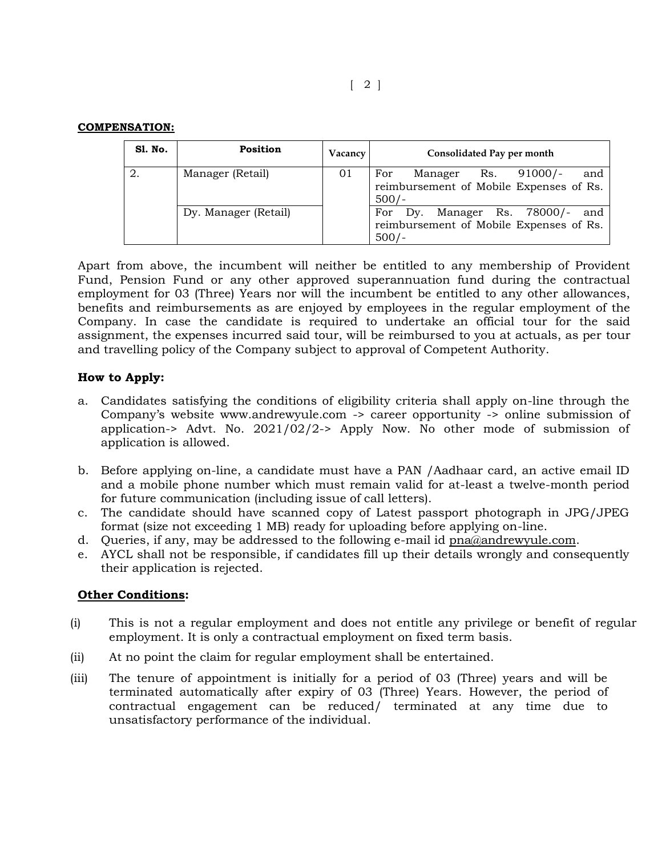| <b>S1. No.</b> | <b>Position</b>      | Vacancy | Consolidated Pay per month                                                                          |
|----------------|----------------------|---------|-----------------------------------------------------------------------------------------------------|
|                | Manager (Retail)     | 01      | $\text{Rs.}$ 91000/-<br>For<br>and<br>Manager<br>reimbursement of Mobile Expenses of Rs.<br>$500/-$ |
|                | Dy. Manager (Retail) |         | Manager Rs. 78000/-<br>For<br>Dv.<br>and<br>reimbursement of Mobile Expenses of Rs.<br>$500/-$      |

Apart from above, the incumbent will neither be entitled to any membership of Provident Fund, Pension Fund or any other approved superannuation fund during the contractual employment for 03 (Three) Years nor will the incumbent be entitled to any other allowances, benefits and reimbursements as are enjoyed by employees in the regular employment of the Company. In case the candidate is required to undertake an official tour for the said assignment, the expenses incurred said tour, will be reimbursed to you at actuals, as per tour and travelling policy of the Company subject to approval of Competent Authority.

# **How to Apply:**

- a. Candidates satisfying the conditions of eligibility criteria shall apply on-line through the Company's website www.andrewyule.com -> career opportunity -> online submission of application-> Advt. No.  $2021/\overline{02}/2$ -> Apply Now. No other mode of submission of application is allowed.
- b. Before applying on-line, a candidate must have a PAN /Aadhaar card, an active email ID and a mobile phone number which must remain valid for at-least a twelve-month period for future communication (including issue of call letters).
- c. The candidate should have scanned copy of Latest passport photograph in JPG/JPEG format (size not exceeding 1 MB) ready for uploading before applying on-line.
- d. Queries, if any, may be addressed to the following e-mail id [pna@andrewyule.com.](mailto:pna@andrewyule.com)
- e. AYCL shall not be responsible, if candidates fill up their details wrongly and consequently their application is rejected.

# **Other Conditions:**

- (i) This is not a regular employment and does not entitle any privilege or benefit of regular employment. It is only a contractual employment on fixed term basis.
- (ii) At no point the claim for regular employment shall be entertained.
- (iii) The tenure of appointment is initially for a period of 03 (Three) years and will be terminated automatically after expiry of 03 (Three) Years. However, the period of contractual engagement can be reduced/ terminated at any time due to unsatisfactory performance of the individual.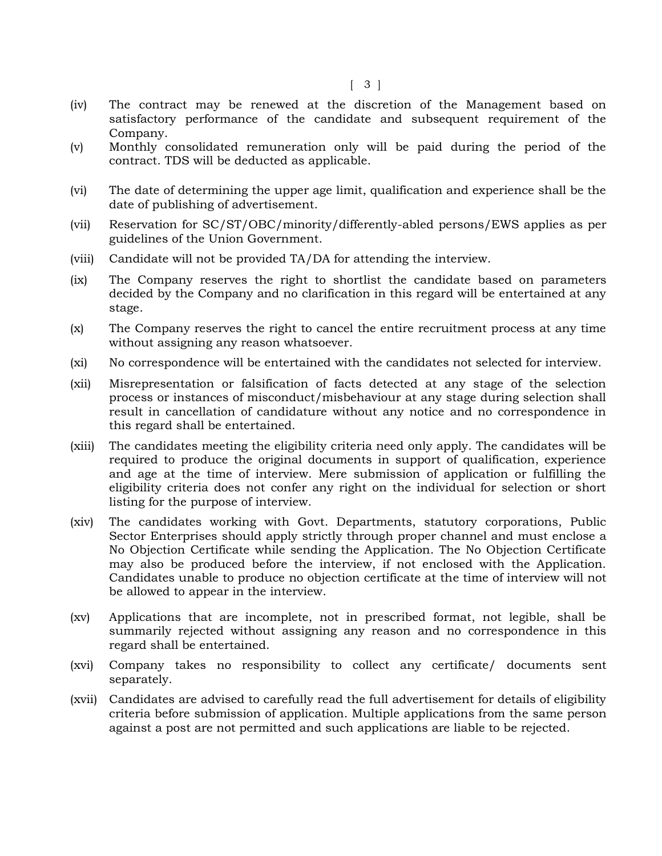- (iv) The contract may be renewed at the discretion of the Management based on satisfactory performance of the candidate and subsequent requirement of the Company.
- (v) Monthly consolidated remuneration only will be paid during the period of the contract. TDS will be deducted as applicable.
- (vi) The date of determining the upper age limit, qualification and experience shall be the date of publishing of advertisement.
- (vii) Reservation for SC/ST/OBC/minority/differently-abled persons/EWS applies as per guidelines of the Union Government.
- (viii) Candidate will not be provided TA/DA for attending the interview.
- (ix) The Company reserves the right to shortlist the candidate based on parameters decided by the Company and no clarification in this regard will be entertained at any stage.
- (x) The Company reserves the right to cancel the entire recruitment process at any time without assigning any reason whatsoever.
- (xi) No correspondence will be entertained with the candidates not selected for interview.
- (xii) Misrepresentation or falsification of facts detected at any stage of the selection process or instances of misconduct/misbehaviour at any stage during selection shall result in cancellation of candidature without any notice and no correspondence in this regard shall be entertained.
- (xiii) The candidates meeting the eligibility criteria need only apply. The candidates will be required to produce the original documents in support of qualification, experience and age at the time of interview. Mere submission of application or fulfilling the eligibility criteria does not confer any right on the individual for selection or short listing for the purpose of interview.
- (xiv) The candidates working with Govt. Departments, statutory corporations, Public Sector Enterprises should apply strictly through proper channel and must enclose a No Objection Certificate while sending the Application. The No Objection Certificate may also be produced before the interview, if not enclosed with the Application. Candidates unable to produce no objection certificate at the time of interview will not be allowed to appear in the interview.
- (xv) Applications that are incomplete, not in prescribed format, not legible, shall be summarily rejected without assigning any reason and no correspondence in this regard shall be entertained.
- (xvi) Company takes no responsibility to collect any certificate/ documents sent separately.
- (xvii) Candidates are advised to carefully read the full advertisement for details of eligibility criteria before submission of application. Multiple applications from the same person against a post are not permitted and such applications are liable to be rejected.